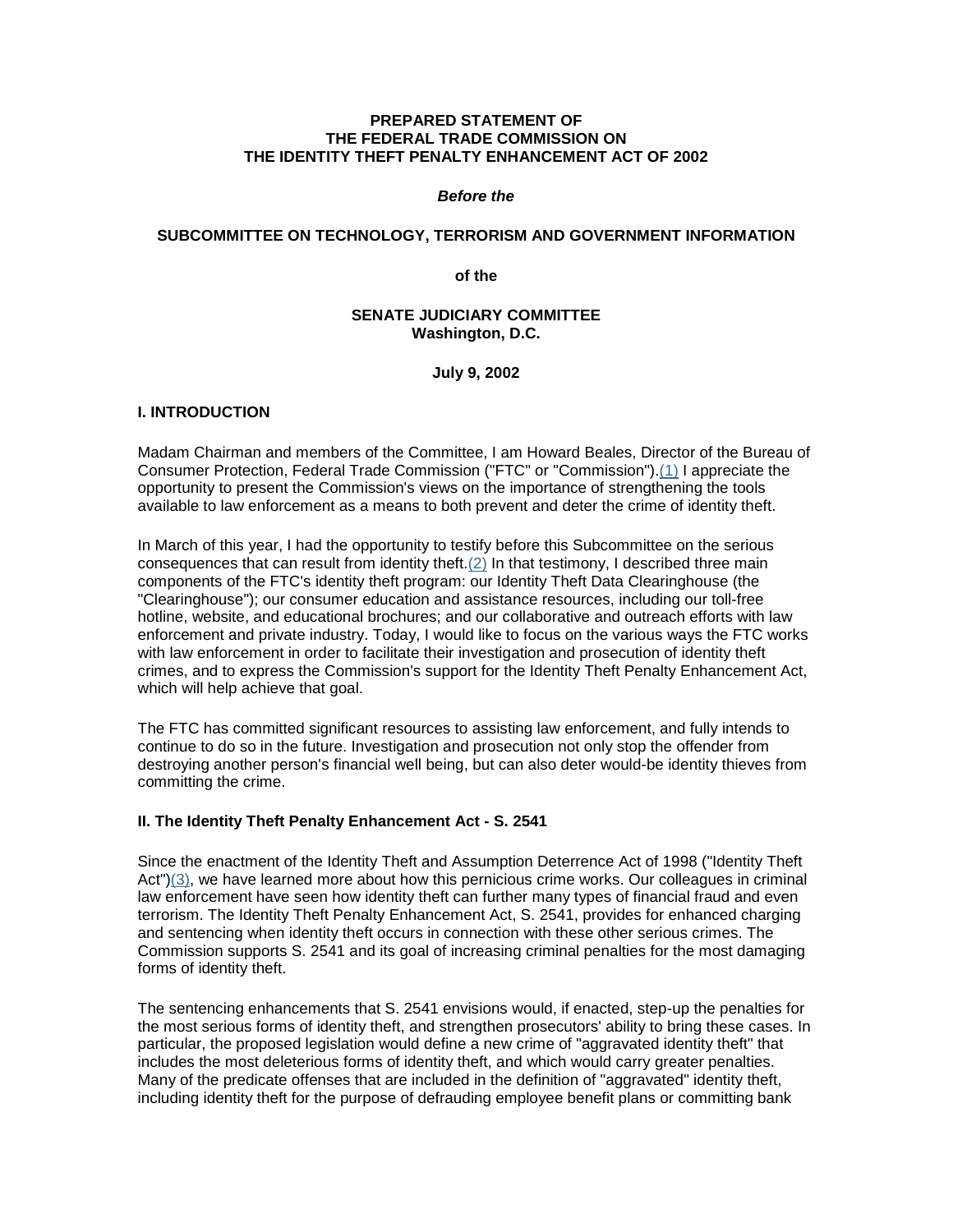# **PREPARED STATEMENT OF THE FEDERAL TRADE COMMISSION ON THE IDENTITY THEFT PENALTY ENHANCEMENT ACT OF 2002**

#### *Before the*

#### **SUBCOMMITTEE ON TECHNOLOGY, TERRORISM AND GOVERNMENT INFORMATION**

**of the**

# **SENATE JUDICIARY COMMITTEE Washington, D.C.**

#### **July 9, 2002**

# **I. INTRODUCTION**

Madam Chairman and members of the Committee, I am Howard Beales, Director of the Bureau of Consumer Protection, Federal Trade Commission ("FTC" or "Commission").(1) I appreciate the opportunity to present the Commission's views on the importance of strengthening the tools available to law enforcement as a means to both prevent and deter the crime of identity theft.

In March of this year, I had the opportunity to testify before this Subcommittee on the serious consequences that can result from identity theft.(2) In that testimony, I described three main components of the FTC's identity theft program: our Identity Theft Data Clearinghouse (the "Clearinghouse"); our consumer education and assistance resources, including our toll-free hotline, website, and educational brochures; and our collaborative and outreach efforts with law enforcement and private industry. Today, I would like to focus on the various ways the FTC works with law enforcement in order to facilitate their investigation and prosecution of identity theft crimes, and to express the Commission's support for the Identity Theft Penalty Enhancement Act, which will help achieve that goal.

The FTC has committed significant resources to assisting law enforcement, and fully intends to continue to do so in the future. Investigation and prosecution not only stop the offender from destroying another person's financial well being, but can also deter would-be identity thieves from committing the crime.

# **II. The Identity Theft Penalty Enhancement Act - S. 2541**

Since the enactment of the Identity Theft and Assumption Deterrence Act of 1998 ("Identity Theft Act")(3), we have learned more about how this pernicious crime works. Our colleagues in criminal law enforcement have seen how identity theft can further many types of financial fraud and even terrorism. The Identity Theft Penalty Enhancement Act, S. 2541, provides for enhanced charging and sentencing when identity theft occurs in connection with these other serious crimes. The Commission supports S. 2541 and its goal of increasing criminal penalties for the most damaging forms of identity theft.

The sentencing enhancements that S. 2541 envisions would, if enacted, step-up the penalties for the most serious forms of identity theft, and strengthen prosecutors' ability to bring these cases. In particular, the proposed legislation would define a new crime of "aggravated identity theft" that includes the most deleterious forms of identity theft, and which would carry greater penalties. Many of the predicate offenses that are included in the definition of "aggravated" identity theft, including identity theft for the purpose of defrauding employee benefit plans or committing bank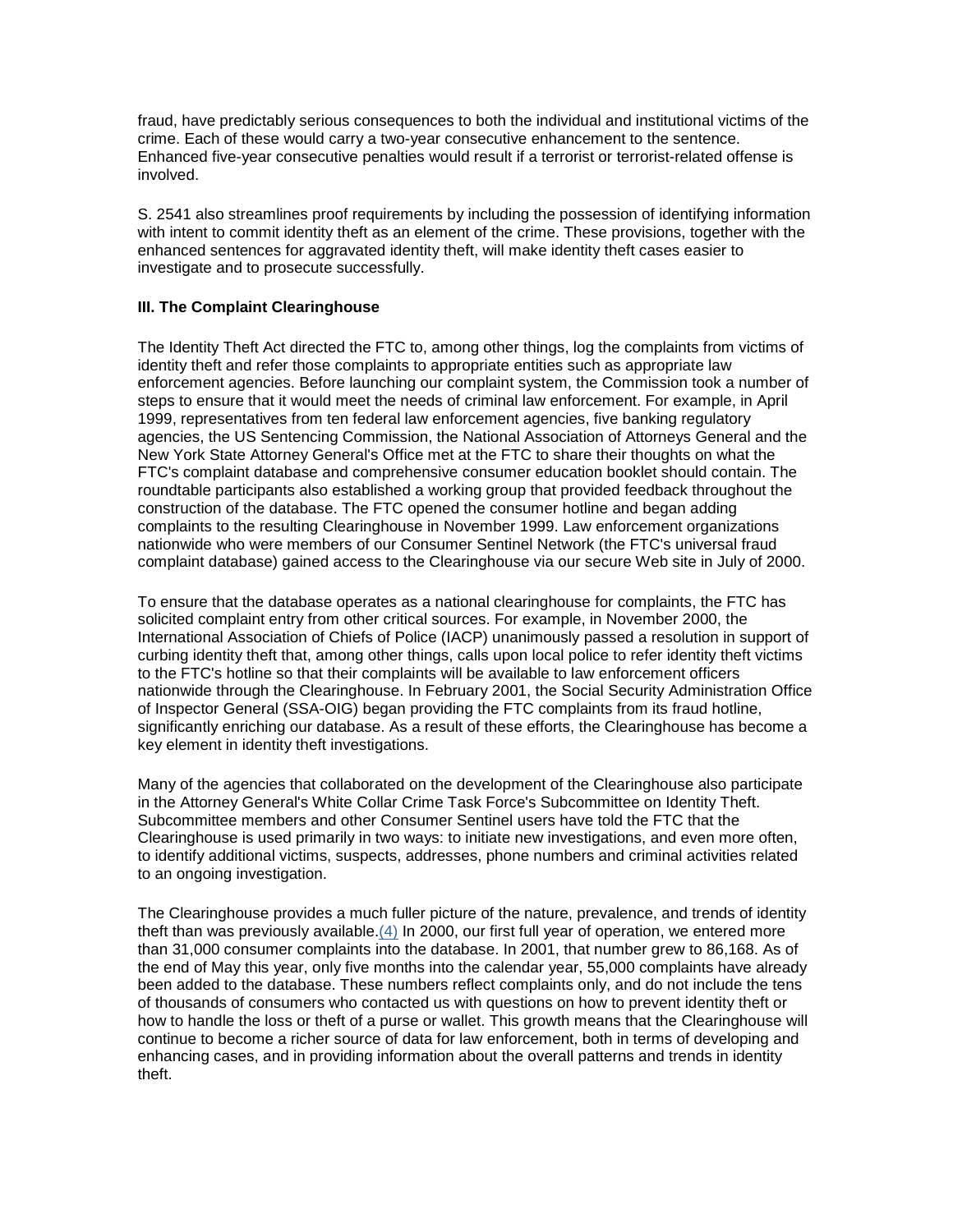fraud, have predictably serious consequences to both the individual and institutional victims of the crime. Each of these would carry a two-year consecutive enhancement to the sentence. Enhanced five-year consecutive penalties would result if a terrorist or terrorist-related offense is involved.

S. 2541 also streamlines proof requirements by including the possession of identifying information with intent to commit identity theft as an element of the crime. These provisions, together with the enhanced sentences for aggravated identity theft, will make identity theft cases easier to investigate and to prosecute successfully.

## **III. The Complaint Clearinghouse**

The Identity Theft Act directed the FTC to, among other things, log the complaints from victims of identity theft and refer those complaints to appropriate entities such as appropriate law enforcement agencies. Before launching our complaint system, the Commission took a number of steps to ensure that it would meet the needs of criminal law enforcement. For example, in April 1999, representatives from ten federal law enforcement agencies, five banking regulatory agencies, the US Sentencing Commission, the National Association of Attorneys General and the New York State Attorney General's Office met at the FTC to share their thoughts on what the FTC's complaint database and comprehensive consumer education booklet should contain. The roundtable participants also established a working group that provided feedback throughout the construction of the database. The FTC opened the consumer hotline and began adding complaints to the resulting Clearinghouse in November 1999. Law enforcement organizations nationwide who were members of our Consumer Sentinel Network (the FTC's universal fraud complaint database) gained access to the Clearinghouse via our secure Web site in July of 2000.

To ensure that the database operates as a national clearinghouse for complaints, the FTC has solicited complaint entry from other critical sources. For example, in November 2000, the International Association of Chiefs of Police (IACP) unanimously passed a resolution in support of curbing identity theft that, among other things, calls upon local police to refer identity theft victims to the FTC's hotline so that their complaints will be available to law enforcement officers nationwide through the Clearinghouse. In February 2001, the Social Security Administration Office of Inspector General (SSA-OIG) began providing the FTC complaints from its fraud hotline, significantly enriching our database. As a result of these efforts, the Clearinghouse has become a key element in identity theft investigations.

Many of the agencies that collaborated on the development of the Clearinghouse also participate in the Attorney General's White Collar Crime Task Force's Subcommittee on Identity Theft. Subcommittee members and other Consumer Sentinel users have told the FTC that the Clearinghouse is used primarily in two ways: to initiate new investigations, and even more often, to identify additional victims, suspects, addresses, phone numbers and criminal activities related to an ongoing investigation.

The Clearinghouse provides a much fuller picture of the nature, prevalence, and trends of identity theft than was previously available.(4) In 2000, our first full year of operation, we entered more than 31,000 consumer complaints into the database. In 2001, that number grew to 86,168. As of the end of May this year, only five months into the calendar year, 55,000 complaints have already been added to the database. These numbers reflect complaints only, and do not include the tens of thousands of consumers who contacted us with questions on how to prevent identity theft or how to handle the loss or theft of a purse or wallet. This growth means that the Clearinghouse will continue to become a richer source of data for law enforcement, both in terms of developing and enhancing cases, and in providing information about the overall patterns and trends in identity theft.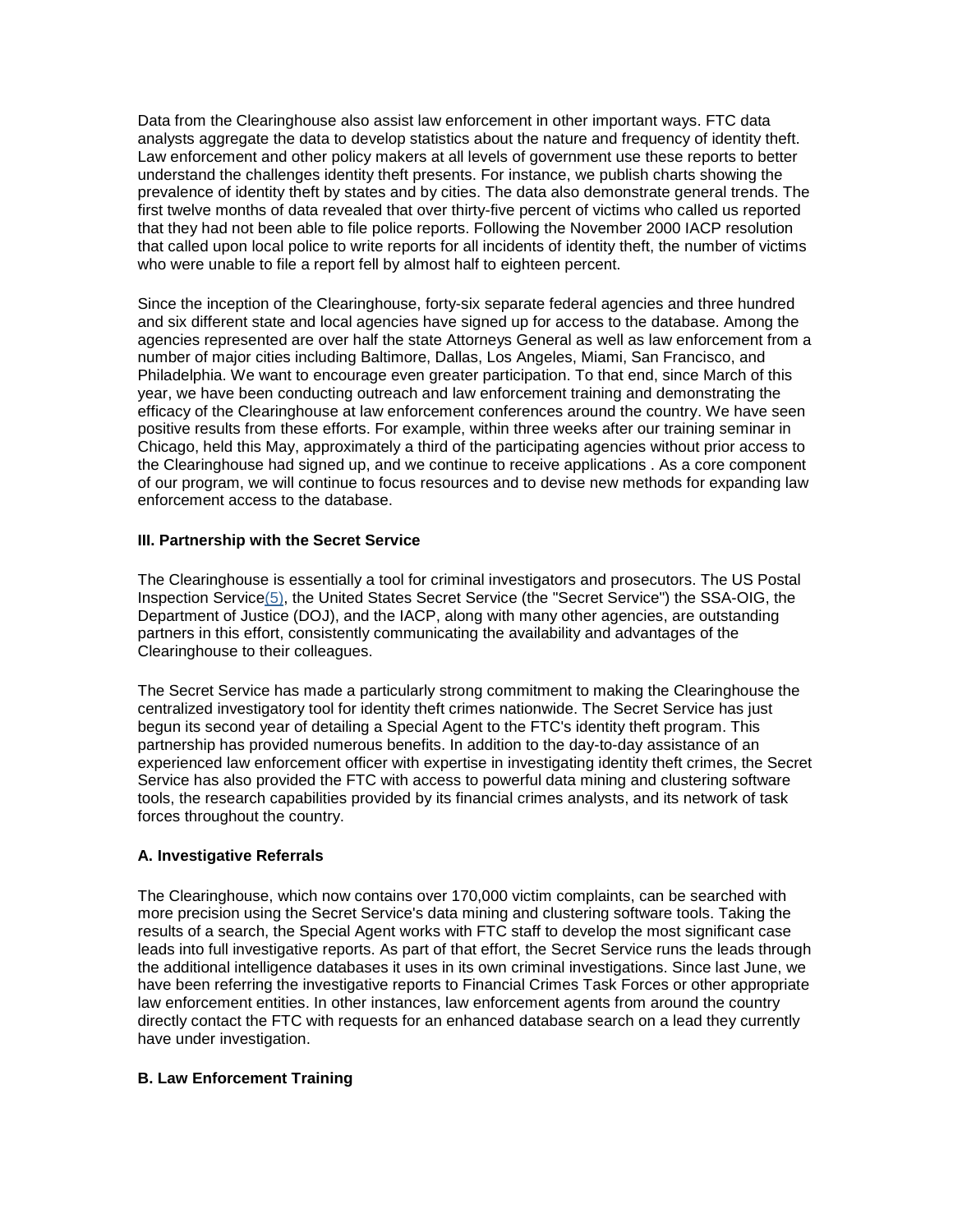Data from the Clearinghouse also assist law enforcement in other important ways. FTC data analysts aggregate the data to develop statistics about the nature and frequency of identity theft. Law enforcement and other policy makers at all levels of government use these reports to better understand the challenges identity theft presents. For instance, we publish charts showing the prevalence of identity theft by states and by cities. The data also demonstrate general trends. The first twelve months of data revealed that over thirty-five percent of victims who called us reported that they had not been able to file police reports. Following the November 2000 IACP resolution that called upon local police to write reports for all incidents of identity theft, the number of victims who were unable to file a report fell by almost half to eighteen percent.

Since the inception of the Clearinghouse, forty-six separate federal agencies and three hundred and six different state and local agencies have signed up for access to the database. Among the agencies represented are over half the state Attorneys General as well as law enforcement from a number of major cities including Baltimore, Dallas, Los Angeles, Miami, San Francisco, and Philadelphia. We want to encourage even greater participation. To that end, since March of this year, we have been conducting outreach and law enforcement training and demonstrating the efficacy of the Clearinghouse at law enforcement conferences around the country. We have seen positive results from these efforts. For example, within three weeks after our training seminar in Chicago, held this May, approximately a third of the participating agencies without prior access to the Clearinghouse had signed up, and we continue to receive applications . As a core component of our program, we will continue to focus resources and to devise new methods for expanding law enforcement access to the database.

# **III. Partnership with the Secret Service**

The Clearinghouse is essentially a tool for criminal investigators and prosecutors. The US Postal Inspection Service(5), the United States Secret Service (the "Secret Service") the SSA-OIG, the Department of Justice (DOJ), and the IACP, along with many other agencies, are outstanding partners in this effort, consistently communicating the availability and advantages of the Clearinghouse to their colleagues.

The Secret Service has made a particularly strong commitment to making the Clearinghouse the centralized investigatory tool for identity theft crimes nationwide. The Secret Service has just begun its second year of detailing a Special Agent to the FTC's identity theft program. This partnership has provided numerous benefits. In addition to the day-to-day assistance of an experienced law enforcement officer with expertise in investigating identity theft crimes, the Secret Service has also provided the FTC with access to powerful data mining and clustering software tools, the research capabilities provided by its financial crimes analysts, and its network of task forces throughout the country.

# **A. Investigative Referrals**

The Clearinghouse, which now contains over 170,000 victim complaints, can be searched with more precision using the Secret Service's data mining and clustering software tools. Taking the results of a search, the Special Agent works with FTC staff to develop the most significant case leads into full investigative reports. As part of that effort, the Secret Service runs the leads through the additional intelligence databases it uses in its own criminal investigations. Since last June, we have been referring the investigative reports to Financial Crimes Task Forces or other appropriate law enforcement entities. In other instances, law enforcement agents from around the country directly contact the FTC with requests for an enhanced database search on a lead they currently have under investigation.

# **B. Law Enforcement Training**